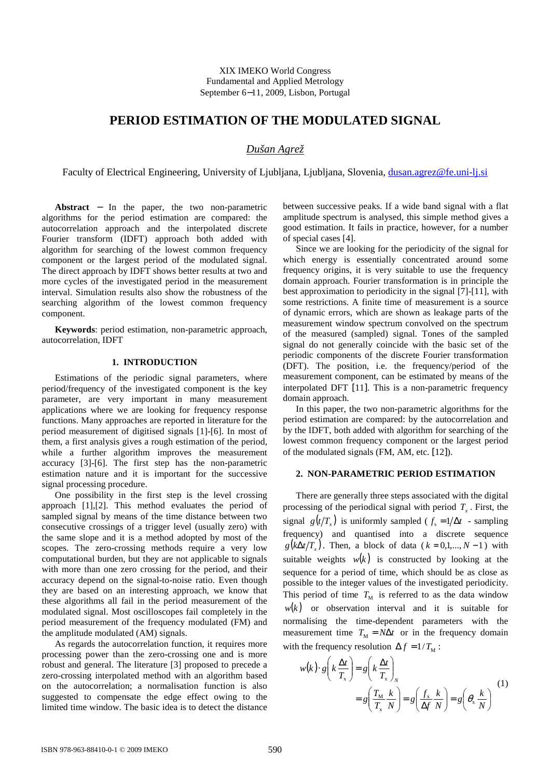XIX IMEKO World Congress Fundamental and Applied Metrology September 6−11, 2009, Lisbon, Portugal

# **PERIOD ESTIMATION OF THE MODULATED SIGNAL**

## *Dušan Agrež*

Faculty of Electrical Engineering, University of Ljubljana, Ljubljana, Slovenia, dusan.agrez@fe.uni-lj.si

**Abstract** − In the paper, the two non-parametric algorithms for the period estimation are compared: the autocorrelation approach and the interpolated discrete Fourier transform (IDFT) approach both added with algorithm for searching of the lowest common frequency component or the largest period of the modulated signal. The direct approach by IDFT shows better results at two and more cycles of the investigated period in the measurement interval. Simulation results also show the robustness of the searching algorithm of the lowest common frequency component.

**Keywords**: period estimation, non-parametric approach, autocorrelation, IDFT

## **1. INTRODUCTION**

Estimations of the periodic signal parameters, where period/frequency of the investigated component is the key parameter, are very important in many measurement applications where we are looking for frequency response functions. Many approaches are reported in literature for the period measurement of digitised signals [1]-[6]. In most of them, a first analysis gives a rough estimation of the period, while a further algorithm improves the measurement accuracy [3]-[6]. The first step has the non-parametric estimation nature and it is important for the successive signal processing procedure.

One possibility in the first step is the level crossing approach [1],[2]. This method evaluates the period of sampled signal by means of the time distance between two consecutive crossings of a trigger level (usually zero) with the same slope and it is a method adopted by most of the scopes. The zero-crossing methods require a very low computational burden, but they are not applicable to signals with more than one zero crossing for the period, and their accuracy depend on the signal-to-noise ratio. Even though they are based on an interesting approach, we know that these algorithms all fail in the period measurement of the modulated signal. Most oscilloscopes fail completely in the period measurement of the frequency modulated (FM) and the amplitude modulated (AM) signals.

As regards the autocorrelation function, it requires more processing power than the zero-crossing one and is more robust and general. The literature [3] proposed to precede a zero-crossing interpolated method with an algorithm based on the autocorrelation; a normalisation function is also suggested to compensate the edge effect owing to the limited time window. The basic idea is to detect the distance between successive peaks. If a wide band signal with a flat amplitude spectrum is analysed, this simple method gives a good estimation. It fails in practice, however, for a number of special cases [4].

Since we are looking for the periodicity of the signal for which energy is essentially concentrated around some frequency origins, it is very suitable to use the frequency domain approach. Fourier transformation is in principle the best approximation to periodicity in the signal [7]-[11], with some restrictions. A finite time of measurement is a source of dynamic errors, which are shown as leakage parts of the measurement window spectrum convolved on the spectrum of the measured (sampled) signal. Tones of the sampled signal do not generally coincide with the basic set of the periodic components of the discrete Fourier transformation (DFT). The position, i.e. the frequency/period of the measurement component, can be estimated by means of the interpolated DFT [11]. This is a non-parametric frequency domain approach.

In this paper, the two non-parametric algorithms for the period estimation are compared: by the autocorrelation and by the IDFT, both added with algorithm for searching of the lowest common frequency component or the largest period of the modulated signals (FM, AM, etc. [12]).

#### **2. NON-PARAMETRIC PERIOD ESTIMATION**

There are generally three steps associated with the digital processing of the periodical signal with period  $T<sub>x</sub>$ . First, the signal  $g(t/T_x)$  is uniformly sampled ( $f_s = 1/\Delta t$  - sampling frequency) and quantised into a discrete sequence  $g(k\Delta t/T_x)$ . Then, a block of data ( $k = 0,1,..., N-1$ ) with suitable weights  $w(k)$  is constructed by looking at the sequence for a period of time, which should be as close as possible to the integer values of the investigated periodicity. This period of time  $T<sub>M</sub>$  is referred to as the data window  $w(k)$  or observation interval and it is suitable for normalising the time-dependent parameters with the measurement time  $T_M = N\Delta t$  or in the frequency domain with the frequency resolution  $\Delta f = 1/T_{\rm M}$ :

$$
w(k) \cdot g\left(k\frac{\Delta t}{T_x}\right) = g\left(k\frac{\Delta t}{T_x}\right)_N
$$
  
=  $g\left(\frac{T_M}{T_x}\frac{k}{N}\right) = g\left(\frac{f_x}{\Delta f}\frac{k}{N}\right) = g\left(\theta_x\frac{k}{N}\right)$  (1)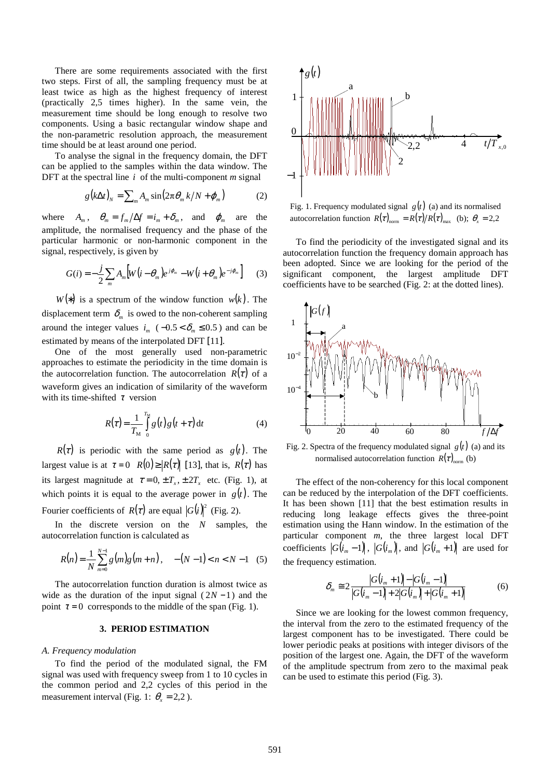There are some requirements associated with the first two steps. First of all, the sampling frequency must be at least twice as high as the highest frequency of interest (practically 2,5 times higher). In the same vein, the measurement time should be long enough to resolve two components. Using a basic rectangular window shape and the non-parametric resolution approach, the measurement time should be at least around one period.

To analyse the signal in the frequency domain, the DFT can be applied to the samples within the data window. The DFT at the spectral line  $i$  of the multi-component  $m$  signal

$$
g(k\Delta t)_N = \sum_m A_m \sin(2\pi \theta_m k/N + \varphi_m)
$$
 (2)

where  $A_m$ ,  $\theta_m = f_m / \Delta f = i_m + \delta_m$ , and  $\varphi_m$  are the amplitude, the normalised frequency and the phase of the particular harmonic or non-harmonic component in the signal, respectively, is given by

$$
G(i) = -\frac{j}{2} \sum_{m} A_{m} \left[ W(i - \theta_{m}) e^{j\varphi_{m}} - W(i + \theta_{m}) e^{-j\varphi_{m}} \right]
$$
 (3)

*W*(\*) is a spectrum of the window function  $w(k)$ . The displacement term  $\delta_m$  is owed to the non-coherent sampling around the integer values  $i_m$  ( $-0.5 < \delta_m \le 0.5$ ) and can be estimated by means of the interpolated DFT [11].

One of the most generally used non-parametric approaches to estimate the periodicity in the time domain is the autocorrelation function. The autocorrelation  $R(\tau)$  of a waveform gives an indication of similarity of the waveform with its time-shifted  $\tau$  version

$$
R(\tau) = \frac{1}{T_M} \int\limits_{0}^{T_M} g(t) g(t+\tau) dt
$$
 (4)

 $R(\tau)$  is periodic with the same period as  $g(t)$ . The largest value is at  $\tau = 0$   $R(0) \ge |R(\tau)|$  [13], that is,  $R(\tau)$  has its largest magnitude at  $\tau = 0, \pm T_x, \pm 2T_x$  etc. (Fig. 1), at which points it is equal to the average power in  $g(t)$ . The Fourier coefficients of  $R(\tau)$  are equal  $|G(i)|^2$  (Fig. 2).

In the discrete version on the *N* samples, the autocorrelation function is calculated as

$$
R(n) = \frac{1}{N} \sum_{m=0}^{N-1} g(m)g(m+n), \quad -(N-1) < n < N-1 \quad (5)
$$

The autocorrelation function duration is almost twice as wide as the duration of the input signal  $(2N-1)$  and the point  $\tau = 0$  corresponds to the middle of the span (Fig. 1).

### **3. PERIOD ESTIMATION**

## *A. Frequency modulation*

To find the period of the modulated signal, the FM signal was used with frequency sweep from 1 to 10 cycles in the common period and 2,2 cycles of this period in the measurement interval (Fig. 1:  $\theta$ <sub>x</sub> = 2,2).



Fig. 1. Frequency modulated signal  $g(t)$  (a) and its normalised autocorrelation function  $R(\tau)_{\text{norm}} = R(\tau)/R(\tau)_{\text{max}}$  (b);  $\theta_x = 2.2$ 

To find the periodicity of the investigated signal and its autocorrelation function the frequency domain approach has been adopted. Since we are looking for the period of the significant component, the largest amplitude DFT coefficients have to be searched (Fig. 2: at the dotted lines).



Fig. 2. Spectra of the frequency modulated signal  $g(t)$  (a) and its normalised autocorrelation function  $R(\tau)_{norm}$  (b)

The effect of the non-coherency for this local component can be reduced by the interpolation of the DFT coefficients. It has been shown [11] that the best estimation results in reducing long leakage effects gives the three-point estimation using the Hann window. In the estimation of the particular component *m*, the three largest local DFT coefficients  $|G(i_m-1)|$ ,  $|G(i_m)|$ , and  $|G(i_m+1)|$  are used for the frequency estimation.

$$
\delta_m \cong 2 \frac{|G(i_m+1)|-|G(i_m-1)|}{|G(i_m-1)|+2|G(i_m)|+|G(i_m+1)|} \tag{6}
$$

Since we are looking for the lowest common frequency, the interval from the zero to the estimated frequency of the largest component has to be investigated. There could be lower periodic peaks at positions with integer divisors of the position of the largest one. Again, the DFT of the waveform of the amplitude spectrum from zero to the maximal peak can be used to estimate this period (Fig. 3).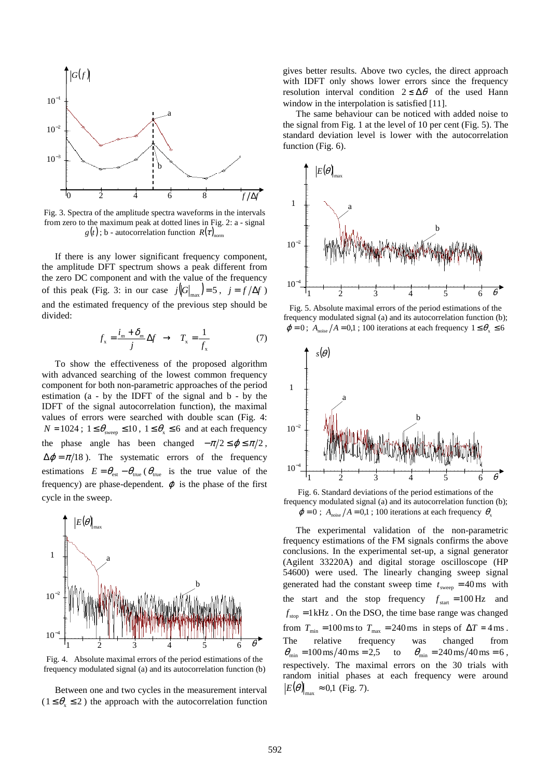

Fig. 3. Spectra of the amplitude spectra waveforms in the intervals from zero to the maximum peak at dotted lines in Fig. 2: a - signal  $g(t)$ ; b - autocorrelation function  $R(\tau)_{norm}$ 

If there is any lower significant frequency component, the amplitude DFT spectrum shows a peak different from the zero DC component and with the value of the frequency of this peak (Fig. 3: in our case  $j \left\| G \right\|_{\text{max}} = 5$ ,  $j = f/\Delta f$ ) and the estimated frequency of the previous step should be divided:

$$
f_{x} = \frac{i_{m} + \delta_{m}}{j} \Delta f \rightarrow T_{x} = \frac{1}{f_{x}}
$$
 (7)

To show the effectiveness of the proposed algorithm with advanced searching of the lowest common frequency component for both non-parametric approaches of the period estimation (a - by the IDFT of the signal and b - by the IDFT of the signal autocorrelation function), the maximal values of errors were searched with double scan (Fig. 4:  $N = 1024$ ;  $1 \le \theta_{\text{sween}} \le 10$ ,  $1 \le \theta_{\text{x}} \le 6$  and at each frequency the phase angle has been changed  $-\pi/2 \le \varphi \le \pi/2$ ,  $\Delta \varphi = \pi/18$ ). The systematic errors of the frequency estimations  $E = \theta_{est} - \theta_{true}$  ( $\theta_{true}$  is the true value of the frequency) are phase-dependent.  $\varphi$  is the phase of the first cycle in the sweep.



Fig. 4. Absolute maximal errors of the period estimations of the frequency modulated signal (a) and its autocorrelation function (b)

Between one and two cycles in the measurement interval  $(1 \le \theta_{x} \le 2)$  the approach with the autocorrelation function

gives better results. Above two cycles, the direct approach with IDFT only shows lower errors since the frequency resolution interval condition  $2 \leq \Delta \theta$  of the used Hann window in the interpolation is satisfied [11].

The same behaviour can be noticed with added noise to the signal from Fig. 1 at the level of 10 per cent (Fig. 5). The standard deviation level is lower with the autocorrelation function (Fig. 6).



Fig. 5. Absolute maximal errors of the period estimations of the frequency modulated signal (a) and its autocorrelation function (b);  $\varphi = 0$ ;  $A_{\text{noise}}/A = 0.1$ ; 100 iterations at each frequency  $1 \le \theta_x \le 6$ 



Fig. 6. Standard deviations of the period estimations of the frequency modulated signal (a) and its autocorrelation function (b);  $\varphi = 0$ ; *A*<sub>noise</sub>  $/A = 0.1$ ; 100 iterations at each frequency  $\theta_x$ 

The experimental validation of the non-parametric frequency estimations of the FM signals confirms the above conclusions. In the experimental set-up, a signal generator (Agilent 33220A) and digital storage oscilloscope (HP 54600) were used. The linearly changing sweep signal generated had the constant sweep time  $t_{\text{sweep}} = 40 \text{ ms}$  with the start and the stop frequency  $f_{\text{start}} = 100 \text{ Hz}$  and  $f_{\text{stop}} = 1 \text{ kHz}$ . On the DSO, the time base range was changed from  $T_{\text{min}} = 100 \text{ ms}$  to  $T_{\text{max}} = 240 \text{ ms}$  in steps of  $\Delta T = 4 \text{ ms}$ . The relative frequency was changed from  $\theta_{\min} = 100 \,\text{ms} / 40 \,\text{ms} = 2.5$  to  $\theta_{\min} = 240 \,\text{ms} / 40 \,\text{ms} = 6$ , respectively. The maximal errors on the 30 trials with random initial phases at each frequency were around  $E(\theta)$ <sub>max</sub>  $\approx$  0,1 (Fig. 7).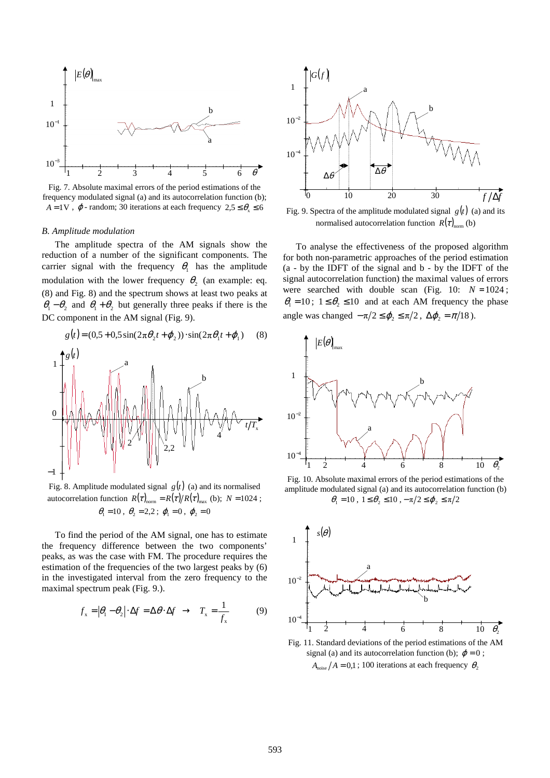

Fig. 7. Absolute maximal errors of the period estimations of the frequency modulated signal (a) and its autocorrelation function (b);  $A = 1V$ ,  $\varphi$ -random; 30 iterations at each frequency  $2.5 \le \theta_{\rm x} \le 6$ 

#### *B. Amplitude modulation*

The amplitude spectra of the AM signals show the reduction of a number of the significant components. The carrier signal with the frequency  $\theta_1$  has the amplitude modulation with the lower frequency  $\theta_2$  (an example: eq. (8) and Fig. 8) and the spectrum shows at least two peaks at  $\theta_1 - \theta_2$  and  $\theta_1 + \theta_2$  but generally three peaks if there is the DC component in the AM signal (Fig. 9).

$$
g(t) = (0.5 + 0.5\sin(2\pi\theta_2 t + \varphi_2)) \cdot \sin(2\pi\theta_1 t + \varphi_1)
$$
 (8)



Fig. 8. Amplitude modulated signal  $g(t)$  (a) and its normalised autocorrelation function  $R(\tau)_{\text{norm}} = R(\tau) / R(\tau)_{\text{max}}$  (b);  $N = 1024$ ;  $\theta_1 = 10$ ,  $\theta_2 = 2.2$ ;  $\varphi_1 = 0$ ,  $\varphi_2 = 0$ 

To find the period of the AM signal, one has to estimate the frequency difference between the two components' peaks, as was the case with FM. The procedure requires the estimation of the frequencies of the two largest peaks by (6) in the investigated interval from the zero frequency to the maximal spectrum peak (Fig. 9.).

$$
f_x = |\theta_1 - \theta_2| \cdot \Delta f = \Delta \theta \cdot \Delta f \rightarrow T_x = \frac{1}{f_x}
$$
 (9)



Fig. 9. Spectra of the amplitude modulated signal  $g(t)$  (a) and its normalised autocorrelation function  $R(\tau)_{\text{norm}}$  (b)

To analyse the effectiveness of the proposed algorithm for both non-parametric approaches of the period estimation (a - by the IDFT of the signal and b - by the IDFT of the signal autocorrelation function) the maximal values of errors were searched with double scan (Fig. 10:  $N = 1024$ ;  $\theta_1 = 10$ ;  $1 \le \theta_2 \le 10$  and at each AM frequency the phase angle was changed  $-\pi/2 \leq \varphi_2 \leq \pi/2$ ,  $\Delta \varphi_2 = \pi/18$ ).



Fig. 10. Absolute maximal errors of the period estimations of the amplitude modulated signal (a) and its autocorrelation function (b)  $\theta_1 = 10$ ,  $1 \le \theta_2 \le 10$ ,  $-\pi/2 \le \varphi_2 \le \pi/2$ 



Fig. 11. Standard deviations of the period estimations of the AM signal (a) and its autocorrelation function (b);  $\varphi = 0$ ;  $A_{\text{noise}}/A = 0.1$ ; 100 iterations at each frequency  $\theta$ ,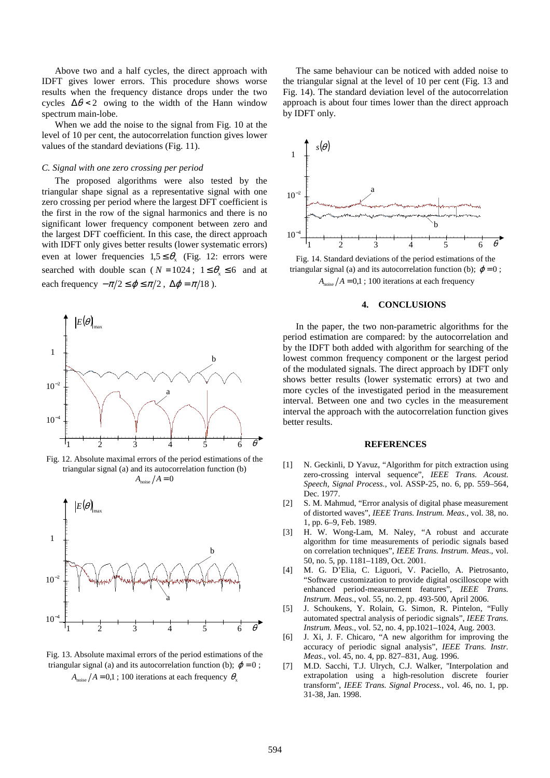Above two and a half cycles, the direct approach with IDFT gives lower errors. This procedure shows worse results when the frequency distance drops under the two cycles  $\Delta\theta$  < 2 owing to the width of the Hann window spectrum main-lobe.

When we add the noise to the signal from Fig. 10 at the level of 10 per cent, the autocorrelation function gives lower values of the standard deviations (Fig. 11).

#### *C. Signal with one zero crossing per period*

The proposed algorithms were also tested by the triangular shape signal as a representative signal with one zero crossing per period where the largest DFT coefficient is the first in the row of the signal harmonics and there is no significant lower frequency component between zero and the largest DFT coefficient. In this case, the direct approach with IDFT only gives better results (lower systematic errors) even at lower frequencies  $1.5 \leq \theta_{\rm x}$  (Fig. 12: errors were searched with double scan ( $N = 1024$ ;  $1 \le \theta_{\gamma} \le 6$  and at each frequency  $-\pi/2 \le \varphi \le \pi/2$ ,  $\Delta \varphi = \pi/18$ ).



Fig. 12. Absolute maximal errors of the period estimations of the triangular signal (a) and its autocorrelation function (b)  $A_{\text{noise}}/A=0$ 



Fig. 13. Absolute maximal errors of the period estimations of the triangular signal (a) and its autocorrelation function (b);  $\varphi = 0$ ;  $A_{\text{noise}}/A = 0.1$ ; 100 iterations at each frequency  $\theta_{\text{y}}$ 

The same behaviour can be noticed with added noise to the triangular signal at the level of 10 per cent (Fig. 13 and Fig. 14). The standard deviation level of the autocorrelation approach is about four times lower than the direct approach by IDFT only.



triangular signal (a) and its autocorrelation function (b);  $\varphi = 0$ ;  $A_{\text{noise}}/A = 0.1$ ; 100 iterations at each frequency

### **4. CONCLUSIONS**

In the paper, the two non-parametric algorithms for the period estimation are compared: by the autocorrelation and by the IDFT both added with algorithm for searching of the lowest common frequency component or the largest period of the modulated signals. The direct approach by IDFT only shows better results (lower systematic errors) at two and more cycles of the investigated period in the measurement interval. Between one and two cycles in the measurement interval the approach with the autocorrelation function gives better results.

#### **REFERENCES**

- [1] N. Geckinli, D Yavuz, "Algorithm for pitch extraction using zero-crossing interval sequence", *IEEE Trans. Acoust. Speech, Signal Process.*, vol. ASSP-25, no. 6, pp. 559–564, Dec. 1977.
- [2] S. M. Mahmud, "Error analysis of digital phase measurement of distorted waves", *IEEE Trans. Instrum. Meas*., vol. 38, no. 1, pp. 6–9, Feb. 1989.
- [3] H. W. Wong-Lam, M. Naley, "A robust and accurate algorithm for time measurements of periodic signals based on correlation techniques", *IEEE Trans. Instrum. Meas*., vol. 50, no. 5, pp. 1181–1189, Oct. 2001.
- [4] M. G. D'Elia, C. Liguori, V. Paciello, A. Pietrosanto, "Software customization to provide digital oscilloscope with enhanced period-measurement features", *IEEE Trans. Instrum. Meas*., vol. 55, no. 2, pp. 493-500, April 2006.
- [5] J. Schoukens, Y. Rolain, G. Simon, R. Pintelon, "Fully automated spectral analysis of periodic signals", *IEEE Trans. Instrum. Meas*., vol. 52, no. 4, pp.1021–1024, Aug. 2003.
- [6] J. Xi, J. F. Chicaro, "A new algorithm for improving the accuracy of periodic signal analysis", *IEEE Trans. Instr. Meas*., vol. 45, no. 4, pp. 827–831, Aug. 1996.
- [7] M.D. Sacchi, T.J. Ulrych, C.J. Walker, ''Interpolation and extrapolation using a high-resolution discrete fourier transform'', *IEEE Trans. Signal Process.*, vol. 46, no. 1, pp. 31-38, Jan. 1998.